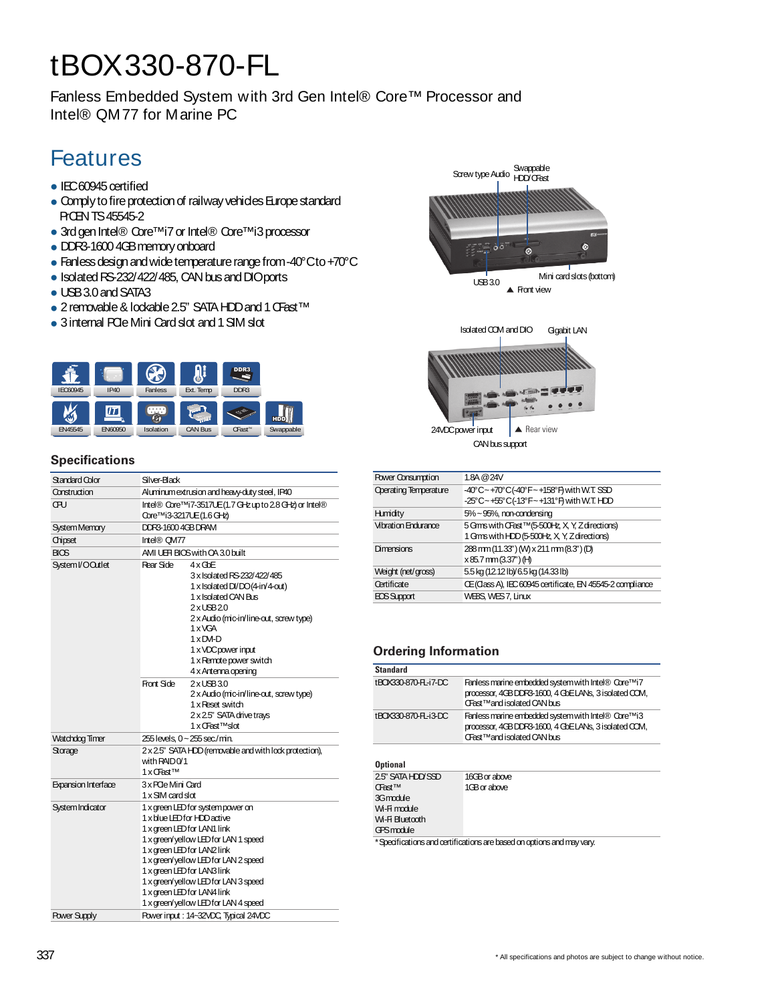# tBOX330-870-FL

Fanless Embedded System with 3rd Gen Intel® Core™ Processor and Intel® QM77 for Marine PC

# Features

- IEC60945 certified
- Comply to fire protection of railway vehicles Europe standard PrCENTS45545-2
- 3rd gen Intel® Core<sup>™</sup>i7 or Intel® Core<sup>™</sup>i3 processor
- DDR3-1600 4GB memory onboard
- Fanless design and wide temperature range from -40°Cto +70°C
- Isolated RS-232/422/485, CAN bus and DIOports
- USB 3.0 and SATA3
- 2 removable & lockable 2.5" SATA HDD and 1 CFast<sup>TM</sup>
- 3 internal PCIe Mini Card slot and 1 SIM slot



#### **Specifications**

| Standard Color        | Silver-Black                                                                                                                                            |                                                                                                                                                                                                                                                                                                                                                                             |
|-----------------------|---------------------------------------------------------------------------------------------------------------------------------------------------------|-----------------------------------------------------------------------------------------------------------------------------------------------------------------------------------------------------------------------------------------------------------------------------------------------------------------------------------------------------------------------------|
| Construction          |                                                                                                                                                         | Aluminum extrusion and heavy-duty steel, IP40                                                                                                                                                                                                                                                                                                                               |
| ŒU                    | Core <sup>™i3-3217UE(1.6 GHz)</sup>                                                                                                                     | Intel® Core™i7-3517UE(1.7 GHz up to 2.8 GHz) or Intel®                                                                                                                                                                                                                                                                                                                      |
| System Memory         | DDR3-16004GBDRAM                                                                                                                                        |                                                                                                                                                                                                                                                                                                                                                                             |
| Chipset               | Intel® CM77                                                                                                                                             |                                                                                                                                                                                                                                                                                                                                                                             |
| <b>BIOS</b>           |                                                                                                                                                         | AMI UEFI BIOS with OA 3.0 built                                                                                                                                                                                                                                                                                                                                             |
| System I/O Outlet     | Rear Side<br>Front Side                                                                                                                                 | $4 \times$ GbE<br>3 x Isolated RS-232/422/485<br>1 x Isolated DI/DO(4-in/4-out)<br>1 x Isolated CAN Bus<br>2xUSB20<br>2 x Audio (mic-in/line-out, screw type)<br>1 x VGA<br>$1 \times DM-D$<br>1 x VDC power input<br>1 x Remote power switch<br>4 x Antenna opening<br>2xUSB30<br>2 x Audio (mic-in/line-out, screw type)<br>1 x Reset switch<br>2 x 2.5" SATA drive trays |
| <b>Watchdog Timer</b> | 255 levels, 0 ~ 255 sec./min.                                                                                                                           | 1 x CFast™slot                                                                                                                                                                                                                                                                                                                                                              |
| Storage               | with $RAIDO/1$<br>1 x OFast™                                                                                                                            | 2 x 25" SATA HDD (removable and with lock protection),                                                                                                                                                                                                                                                                                                                      |
| Expansion Interface   | 3 x POe Mini Card<br>1 x SIM card slot                                                                                                                  |                                                                                                                                                                                                                                                                                                                                                                             |
| System Indicator      | 1 x blue LED for HDD active<br>1 x green LED for LAN1 link<br>1 x green LED for LAN2 link<br>1 x green LED for LAN3 link<br>1 x green LED for LAN4 link | 1 x green LED for system power on<br>1 x green/yellow LED for LAN 1 speed<br>1 x green/yellow LED for LAN 2 speed<br>1 x green/yellow LED for LAN 3 speed                                                                                                                                                                                                                   |
|                       |                                                                                                                                                         | 1 x green/yellow LED for LAN 4 speed                                                                                                                                                                                                                                                                                                                                        |



Swappable<br>Screw type Audio

HDD/CFast

|                    | I GITS WILL FLU IS SUUT A T, LATERIA IST                           |
|--------------------|--------------------------------------------------------------------|
| Dimensions         | 288 mm (11.33") (M) x 211 mm (8.3") (D)<br>$x85.7$ mm $(3.37)$ (H) |
| Weight (net/gross) | 5.5 kg (12.12 lb)/ 6.5 kg (14.33 lb)                               |
| Certificate        | CE (Class A), IEC 60945 certificate, EN 45545-2 compliance         |
| ECS Support        | WEBS, WES 7, Linux                                                 |

### **Ordering Information**

| <b>Standard</b>                                                           |                                                                                                                                                     |
|---------------------------------------------------------------------------|-----------------------------------------------------------------------------------------------------------------------------------------------------|
| tBOX330-870-FL-i7-DC                                                      | Fanless marine embedded system with Intel® Core <sup>™i7</sup><br>processor, 4GBDDR3-1600, 4 GbELANs, 3 isolated CCM,<br>CFast™and isolated CAN bus |
| tBOX330-870-FL-i3-DC                                                      | Fanless marine embedded system with Intel® Core™i3<br>processor, 4GBDDR3-1600, 4 GbELANs, 3 isolated CCM,<br>CFast™and isolated CAN bus             |
| <b>Optional</b>                                                           |                                                                                                                                                     |
| 2.5" SATA HDD SSD<br><b>CFast<sup>™</sup></b><br>3Gmodule<br>$MAE$ modulo | 16GB or above<br>1GB or above                                                                                                                       |

Wi-Fi module Wi-Fi Bluetooth GPSmodule

\*Specificationsandcertificationsarebasedonoptionsandmayvary.